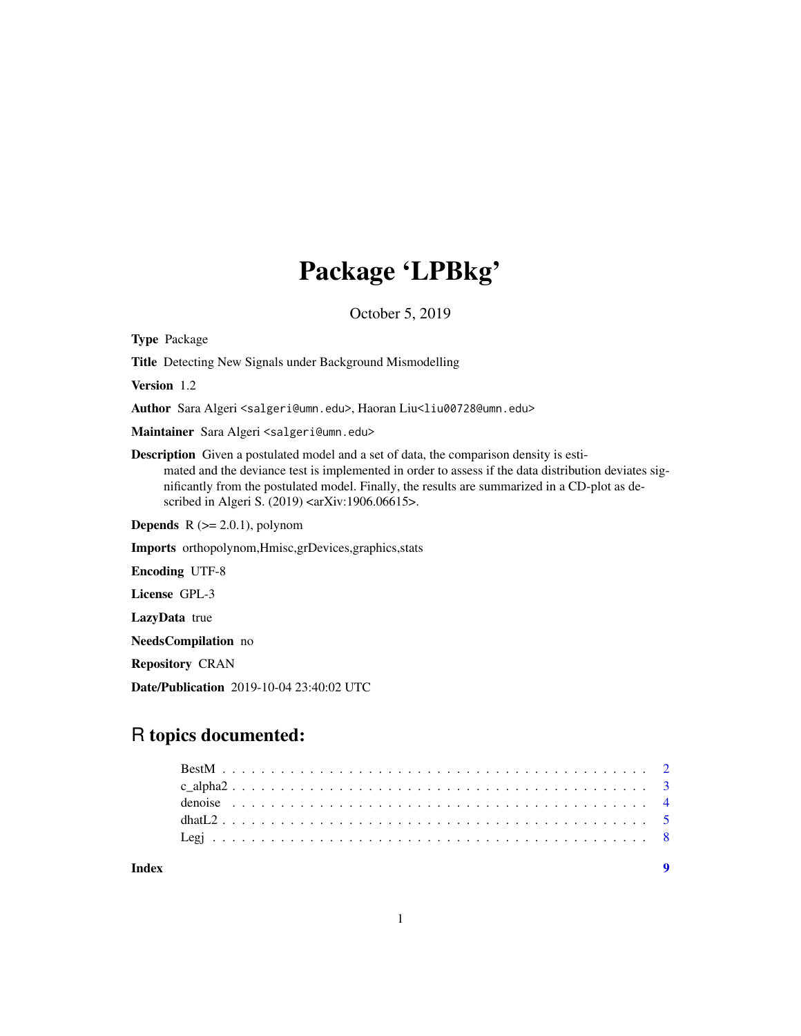## Package 'LPBkg'

October 5, 2019

Type Package Title Detecting New Signals under Background Mismodelling Version 1.2 Author Sara Algeri <salgeri@umn.edu>, Haoran Liu<liu00728@umn.edu> Maintainer Sara Algeri <salgeri@umn.edu> Description Given a postulated model and a set of data, the comparison density is estimated and the deviance test is implemented in order to assess if the data distribution deviates significantly from the postulated model. Finally, the results are summarized in a CD-plot as described in Algeri S. (2019) <arXiv:1906.06615>. **Depends**  $R$  ( $>= 2.0.1$ ), polynom Imports orthopolynom,Hmisc,grDevices,graphics,stats Encoding UTF-8 License GPL-3 LazyData true NeedsCompilation no Repository CRAN

Date/Publication 2019-10-04 23:40:02 UTC

### R topics documented:

| Index |  |  |  |  |  |  |  |  |  |  |  |  |  |  |  |  |  |  |  |  |  |
|-------|--|--|--|--|--|--|--|--|--|--|--|--|--|--|--|--|--|--|--|--|--|

1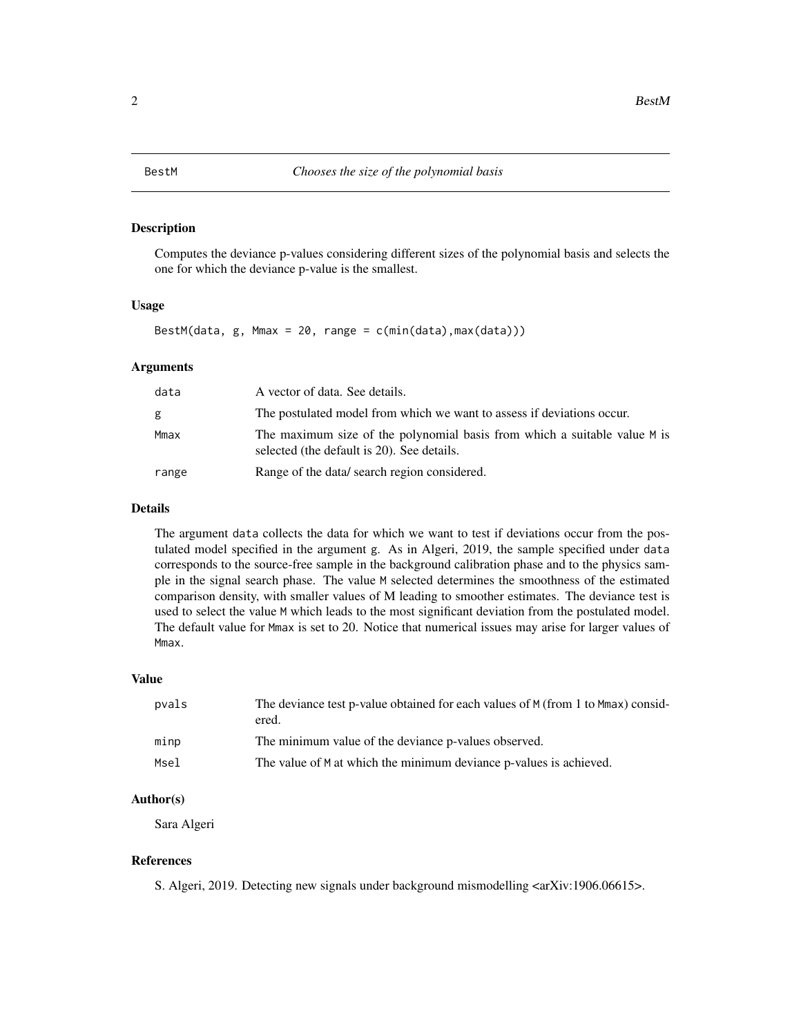#### <span id="page-1-1"></span><span id="page-1-0"></span>Description

Computes the deviance p-values considering different sizes of the polynomial basis and selects the one for which the deviance p-value is the smallest.

#### Usage

BestM(data,  $g$ , Mmax = 20, range =  $c(min(data),max(data))$ )

#### Arguments

| data  | A vector of data. See details.                                                                                          |
|-------|-------------------------------------------------------------------------------------------------------------------------|
| g     | The postulated model from which we want to assess if deviations occur.                                                  |
| Mmax  | The maximum size of the polynomial basis from which a suitable value M is<br>selected (the default is 20). See details. |
| range | Range of the data/ search region considered.                                                                            |

#### Details

The argument data collects the data for which we want to test if deviations occur from the postulated model specified in the argument g. As in Algeri, 2019, the sample specified under data corresponds to the source-free sample in the background calibration phase and to the physics sample in the signal search phase. The value M selected determines the smoothness of the estimated comparison density, with smaller values of M leading to smoother estimates. The deviance test is used to select the value M which leads to the most significant deviation from the postulated model. The default value for Mmax is set to 20. Notice that numerical issues may arise for larger values of Mmax.

#### Value

| pvals | The deviance test p-value obtained for each values of M (from 1 to Mmax) consid-<br>ered. |
|-------|-------------------------------------------------------------------------------------------|
| minp  | The minimum value of the deviance p-values observed.                                      |
| Msel  | The value of M at which the minimum deviance p-values is achieved.                        |

#### Author(s)

Sara Algeri

#### References

S. Algeri, 2019. Detecting new signals under background mismodelling <arXiv:1906.06615>.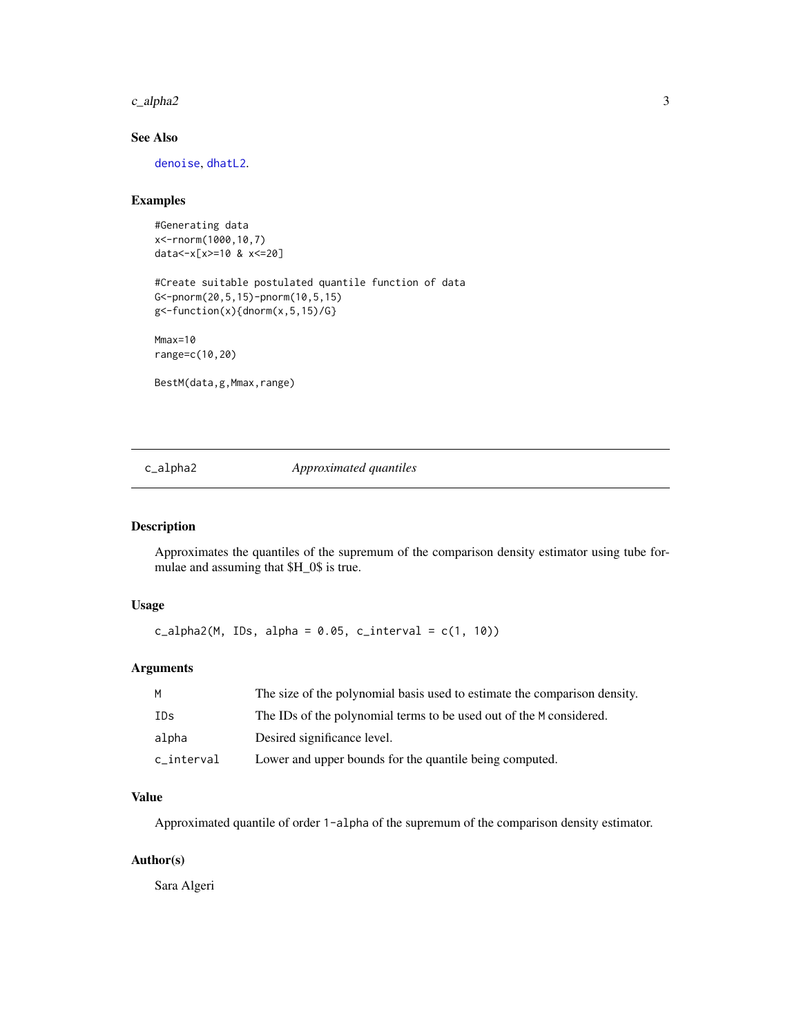<span id="page-2-0"></span> $c_{\text{alpha2}}$  3

#### See Also

[denoise](#page-3-1), [dhatL2](#page-4-1).

#### Examples

#Generating data x<-rnorm(1000,10,7) data<-x[x>=10 & x<=20]

#Create suitable postulated quantile function of data G<-pnorm(20,5,15)-pnorm(10,5,15)  $g$  <-function(x){dnorm(x, 5, 15)/G}

Mmax=10 range=c(10,20)

BestM(data,g,Mmax,range)

#### c\_alpha2 *Approximated quantiles*

#### Description

Approximates the quantiles of the supremum of the comparison density estimator using tube formulae and assuming that \$H\_0\$ is true.

#### Usage

 $c_alpha2(M, IDs, alpha = 0.05, c_interval = c(1, 10))$ 

#### Arguments

| M          | The size of the polynomial basis used to estimate the comparison density. |
|------------|---------------------------------------------------------------------------|
| IDs        | The IDs of the polynomial terms to be used out of the M considered.       |
| alpha      | Desired significance level.                                               |
| c_interval | Lower and upper bounds for the quantile being computed.                   |

#### Value

Approximated quantile of order 1-alpha of the supremum of the comparison density estimator.

#### Author(s)

Sara Algeri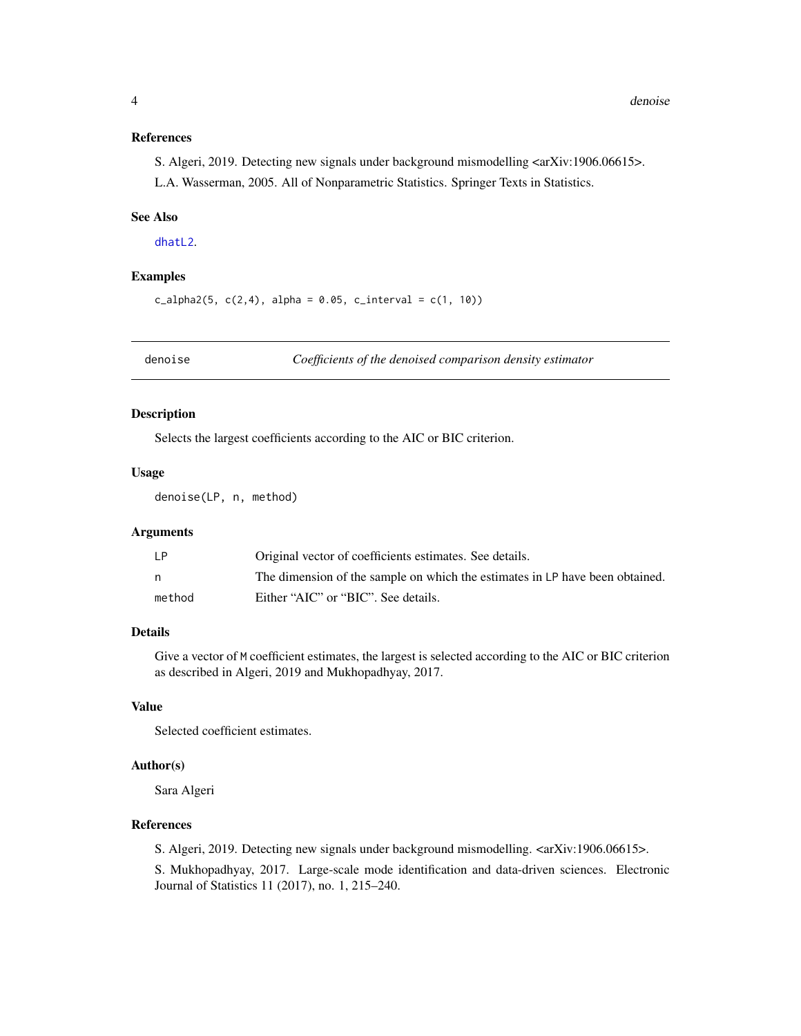#### <span id="page-3-0"></span>References

S. Algeri, 2019. Detecting new signals under background mismodelling <arXiv:1906.06615>.

L.A. Wasserman, 2005. All of Nonparametric Statistics. Springer Texts in Statistics.

#### See Also

[dhatL2](#page-4-1).

#### Examples

 $c_{\text{alpha2}}(5, c(2,4), \text{ alpha} = 0.05, c_{\text{inferred}} = c(1, 10))$ 

<span id="page-3-1"></span>

denoise *Coefficients of the denoised comparison density estimator*

#### Description

Selects the largest coefficients according to the AIC or BIC criterion.

#### Usage

denoise(LP, n, method)

#### Arguments

| LP.    | Original vector of coefficients estimates. See details.                      |
|--------|------------------------------------------------------------------------------|
|        | The dimension of the sample on which the estimates in LP have been obtained. |
| method | Either "AIC" or "BIC". See details.                                          |

#### Details

Give a vector of M coefficient estimates, the largest is selected according to the AIC or BIC criterion as described in Algeri, 2019 and Mukhopadhyay, 2017.

#### Value

Selected coefficient estimates.

#### Author(s)

Sara Algeri

#### References

S. Algeri, 2019. Detecting new signals under background mismodelling. <arXiv:1906.06615>.

S. Mukhopadhyay, 2017. Large-scale mode identification and data-driven sciences. Electronic Journal of Statistics 11 (2017), no. 1, 215–240.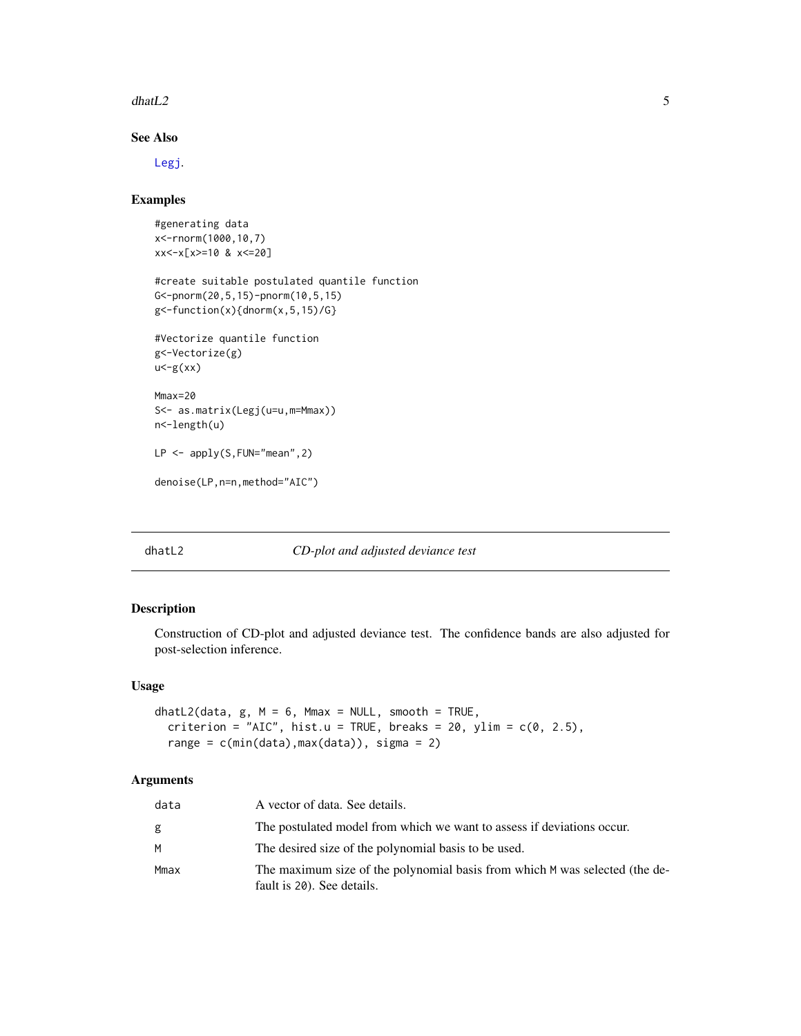<span id="page-4-0"></span> $dhatL2$  5

#### See Also

[Legj](#page-7-1).

#### Examples

```
#generating data
x<-rnorm(1000,10,7)
xx<-x[x>=10 & x<=20]
#create suitable postulated quantile function
G<-pnorm(20,5,15)-pnorm(10,5,15)
g<-function(x){dnorm(x,5,15)/G}
#Vectorize quantile function
g<-Vectorize(g)
u < -g(xx)Mmax=20
S<- as.matrix(Legj(u=u,m=Mmax))
n<-length(u)
LP <- apply(S,FUN="mean",2)
denoise(LP,n=n,method="AIC")
```
#### <span id="page-4-1"></span>dhatL2 *CD-plot and adjusted deviance test*

#### Description

Construction of CD-plot and adjusted deviance test. The confidence bands are also adjusted for post-selection inference.

#### Usage

```
dhatL2(data, g, M = 6, Mmax = NULL, smooth = TRUE,
 criterion = "AIC", hist.u = TRUE, breaks = 20, ylim = c(0, 2.5),
 range = c(min(data),max(data)), sigma = 2)
```
#### Arguments

| data | A vector of data. See details.                                                                            |
|------|-----------------------------------------------------------------------------------------------------------|
| g    | The postulated model from which we want to assess if deviations occur.                                    |
| М    | The desired size of the polynomial basis to be used.                                                      |
| Mmax | The maximum size of the polynomial basis from which M was selected (the de-<br>fault is 20). See details. |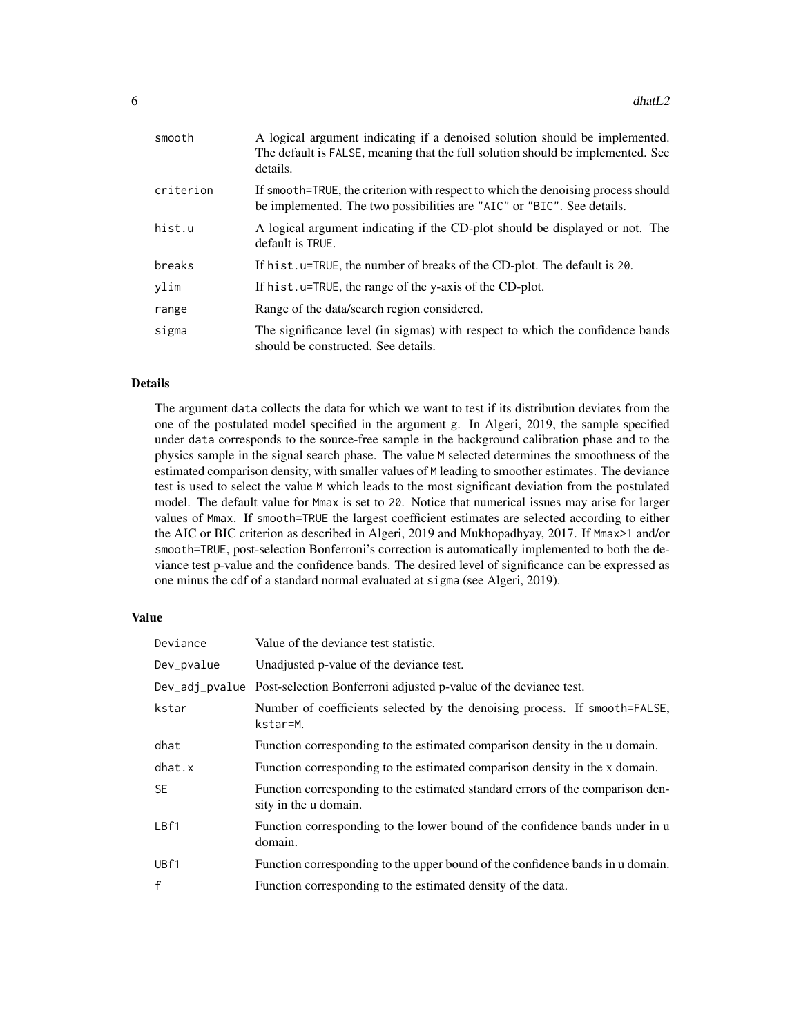| smooth    | A logical argument indicating if a denoised solution should be implemented.<br>The default is FALSE, meaning that the full solution should be implemented. See<br>details. |
|-----------|----------------------------------------------------------------------------------------------------------------------------------------------------------------------------|
| criterion | If smooth=TRUE, the criterion with respect to which the denoising process should<br>be implemented. The two possibilities are "AIC" or "BIC". See details.                 |
| hist.u    | A logical argument indicating if the CD-plot should be displayed or not. The<br>default is TRUE.                                                                           |
| breaks    | If hist.u=TRUE, the number of breaks of the CD-plot. The default is 20.                                                                                                    |
| ylim      | If hist.u=TRUE, the range of the y-axis of the CD-plot.                                                                                                                    |
| range     | Range of the data/search region considered.                                                                                                                                |
| sigma     | The significance level (in sigmas) with respect to which the confidence bands<br>should be constructed. See details.                                                       |

#### Details

The argument data collects the data for which we want to test if its distribution deviates from the one of the postulated model specified in the argument g. In Algeri, 2019, the sample specified under data corresponds to the source-free sample in the background calibration phase and to the physics sample in the signal search phase. The value M selected determines the smoothness of the estimated comparison density, with smaller values of M leading to smoother estimates. The deviance test is used to select the value M which leads to the most significant deviation from the postulated model. The default value for Mmax is set to 20. Notice that numerical issues may arise for larger values of Mmax. If smooth=TRUE the largest coefficient estimates are selected according to either the AIC or BIC criterion as described in Algeri, 2019 and Mukhopadhyay, 2017. If Mmax>1 and/or smooth=TRUE, post-selection Bonferroni's correction is automatically implemented to both the deviance test p-value and the confidence bands. The desired level of significance can be expressed as one minus the cdf of a standard normal evaluated at sigma (see Algeri, 2019).

#### Value

| Deviance     | Value of the deviance test statistic.                                                                   |
|--------------|---------------------------------------------------------------------------------------------------------|
| Dev_pvalue   | Unadjusted p-value of the deviance test.                                                                |
|              | Dev_adj_pvalue Post-selection Bonferroni adjusted p-value of the deviance test.                         |
| kstar        | Number of coefficients selected by the denoising process. If smooth=FALSE,<br>kstar=M.                  |
| dhat         | Function corresponding to the estimated comparison density in the u domain.                             |
| dhat.x       | Function corresponding to the estimated comparison density in the x domain.                             |
| <b>SE</b>    | Function corresponding to the estimated standard errors of the comparison den-<br>sity in the u domain. |
| LBf1         | Function corresponding to the lower bound of the confidence bands under in u<br>domain.                 |
| UBf1         | Function corresponding to the upper bound of the confidence bands in u domain.                          |
| $\mathsf{f}$ | Function corresponding to the estimated density of the data.                                            |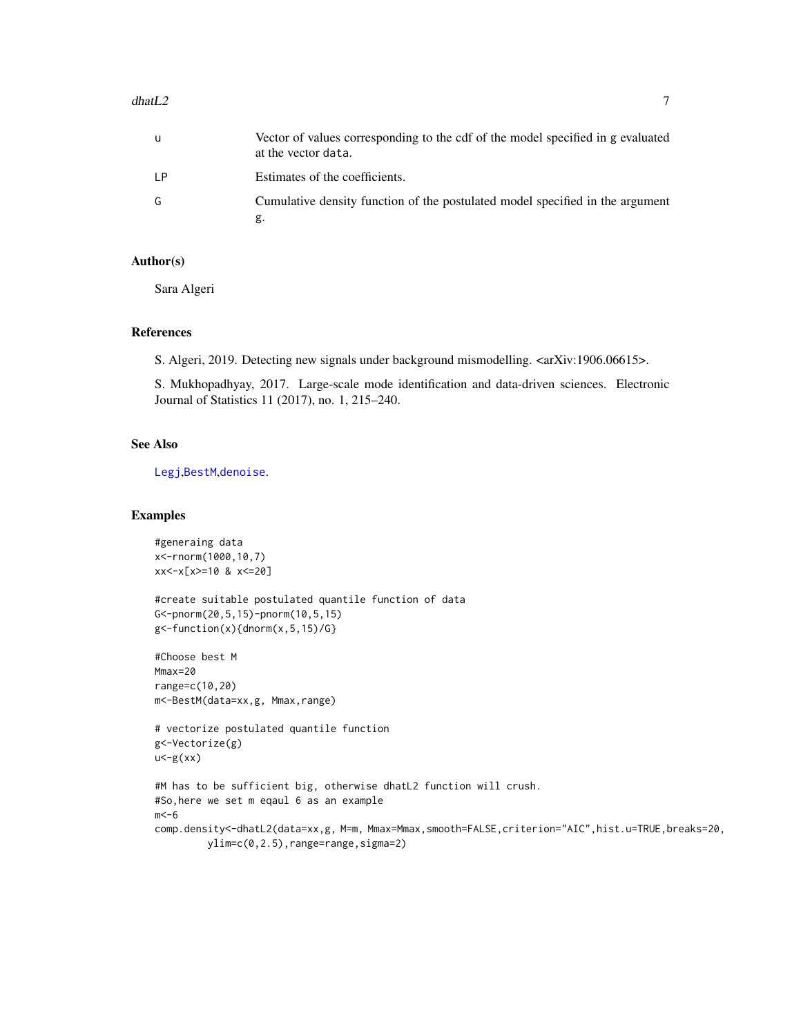#### <span id="page-6-0"></span>dhat $L2$  7

| u  | Vector of values corresponding to the cdf of the model specified in g evaluated<br>at the vector data. |
|----|--------------------------------------------------------------------------------------------------------|
| LР | Estimates of the coefficients.                                                                         |
| G. | Cumulative density function of the postulated model specified in the argument<br>g.                    |

#### Author(s)

Sara Algeri

#### References

S. Algeri, 2019. Detecting new signals under background mismodelling. <arXiv:1906.06615>.

S. Mukhopadhyay, 2017. Large-scale mode identification and data-driven sciences. Electronic Journal of Statistics 11 (2017), no. 1, 215–240.

#### See Also

[Legj](#page-7-1),[BestM](#page-1-1),[denoise](#page-3-1).

#### Examples

```
#generaing data
x<-rnorm(1000,10,7)
xx<-x[x>=10 & x<=20]
#create suitable postulated quantile function of data
G<-pnorm(20,5,15)-pnorm(10,5,15)
g<-function(x){dnorm(x,5,15)/G}
#Choose best M
Mmax=20
range=c(10,20)
m<-BestM(data=xx,g, Mmax,range)
# vectorize postulated quantile function
g<-Vectorize(g)
u < -g(xx)#M has to be sufficient big, otherwise dhatL2 function will crush.
#So,here we set m eqaul 6 as an example
m < -6comp.density<-dhatL2(data=xx,g, M=m, Mmax=Mmax,smooth=FALSE,criterion="AIC",hist.u=TRUE,breaks=20,
         ylim=c(0,2.5),range=range,sigma=2)
```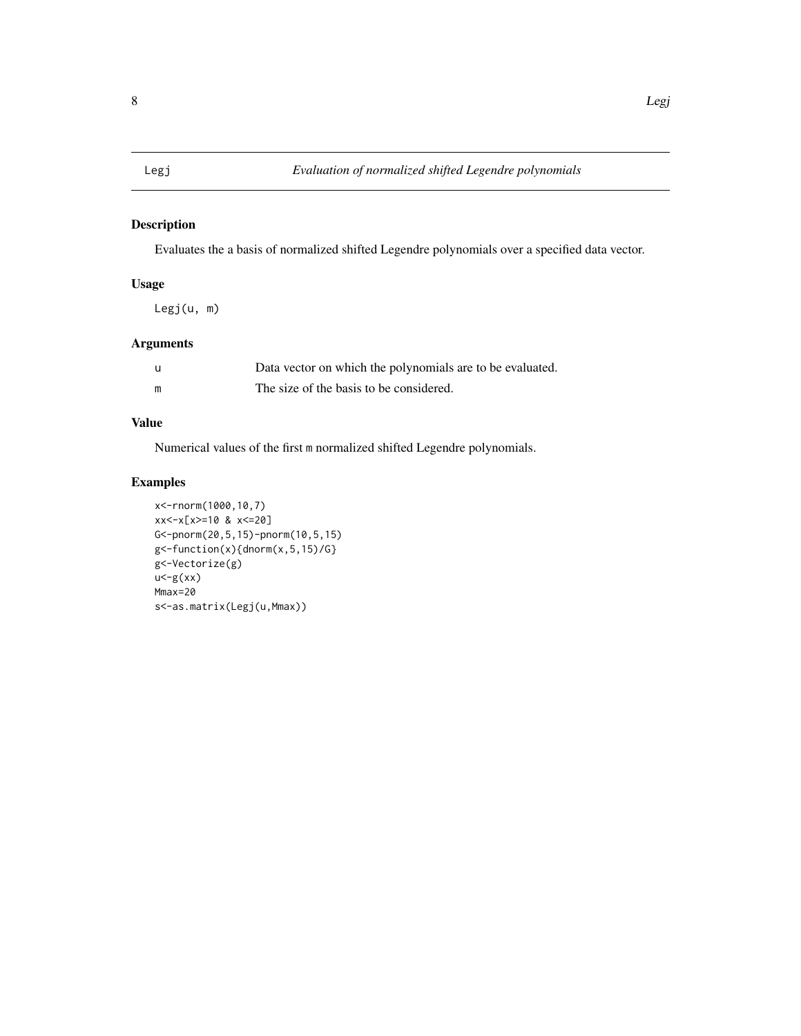#### <span id="page-7-1"></span><span id="page-7-0"></span>Description

Evaluates the a basis of normalized shifted Legendre polynomials over a specified data vector.

### Usage

Legj(u, m)

#### Arguments

| -u | Data vector on which the polynomials are to be evaluated. |
|----|-----------------------------------------------------------|
| m  | The size of the basis to be considered.                   |

### Value

Numerical values of the first m normalized shifted Legendre polynomials.

### Examples

```
x<-rnorm(1000,10,7)
xx<-x[x>=10 & x<=20]
G<-pnorm(20,5,15)-pnorm(10,5,15)
g<-function(x){dnorm(x,5,15)/G}
g<-Vectorize(g)
u < -g(xx)Mmax=20
s<-as.matrix(Legj(u,Mmax))
```